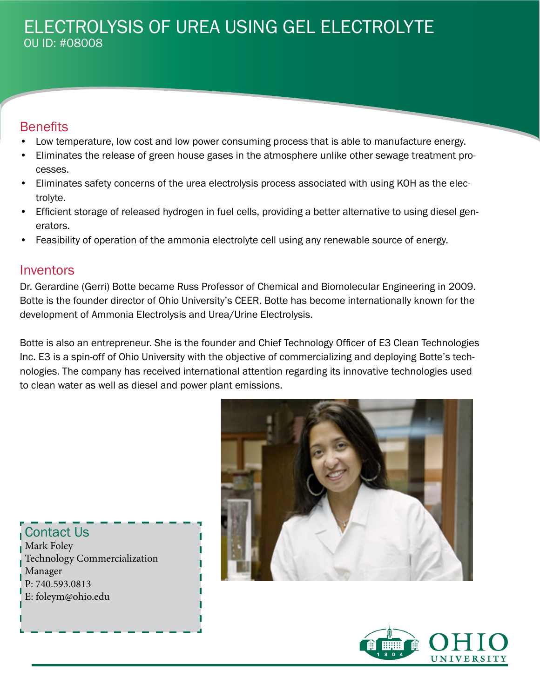# ELECTROLYSIS OF UREA USING GEL ELECTROLYTE OU ID: #08008

### **Benefits**

- Low temperature, low cost and low power consuming process that is able to manufacture energy.
- Eliminates the release of green house gases in the atmosphere unlike other sewage treatment processes.
- Eliminates safety concerns of the urea electrolysis process associated with using KOH as the electrolyte.
- Efficient storage of released hydrogen in fuel cells, providing a better alternative to using diesel generators.
- Feasibility of operation of the ammonia electrolyte cell using any renewable source of energy.

#### **Inventors**

Dr. Gerardine (Gerri) Botte became Russ Professor of Chemical and Biomolecular Engineering in 2009. Botte is the founder director of Ohio University's CEER. Botte has become internationally known for the development of Ammonia Electrolysis and Urea/Urine Electrolysis.

Botte is also an entrepreneur. She is the founder and Chief Technology Officer of E3 Clean Technologies Inc. E3 is a spin-off of Ohio University with the objective of commercializing and deploying Botte's technologies. The company has received international attention regarding its innovative technologies used to clean water as well as diesel and power plant emissions.



Contact Us Mark Foley Technology Commercialization Manager P: 740.593.0813 E: foleym@ohio.edu